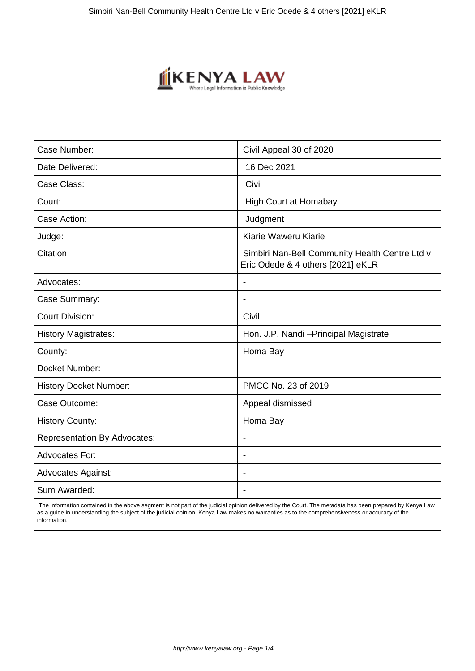

| Case Number:                        | Civil Appeal 30 of 2020                                                             |
|-------------------------------------|-------------------------------------------------------------------------------------|
| Date Delivered:                     | 16 Dec 2021                                                                         |
| Case Class:                         | Civil                                                                               |
| Court:                              | <b>High Court at Homabay</b>                                                        |
| Case Action:                        | Judgment                                                                            |
| Judge:                              | Kiarie Waweru Kiarie                                                                |
| Citation:                           | Simbiri Nan-Bell Community Health Centre Ltd v<br>Eric Odede & 4 others [2021] eKLR |
| Advocates:                          |                                                                                     |
| Case Summary:                       |                                                                                     |
| <b>Court Division:</b>              | Civil                                                                               |
| <b>History Magistrates:</b>         | Hon. J.P. Nandi - Principal Magistrate                                              |
| County:                             | Homa Bay                                                                            |
| Docket Number:                      |                                                                                     |
| <b>History Docket Number:</b>       | PMCC No. 23 of 2019                                                                 |
| Case Outcome:                       | Appeal dismissed                                                                    |
| <b>History County:</b>              | Homa Bay                                                                            |
| <b>Representation By Advocates:</b> | $\qquad \qquad \blacksquare$                                                        |
| <b>Advocates For:</b>               |                                                                                     |
| <b>Advocates Against:</b>           |                                                                                     |
| Sum Awarded:                        |                                                                                     |

 The information contained in the above segment is not part of the judicial opinion delivered by the Court. The metadata has been prepared by Kenya Law as a guide in understanding the subject of the judicial opinion. Kenya Law makes no warranties as to the comprehensiveness or accuracy of the information.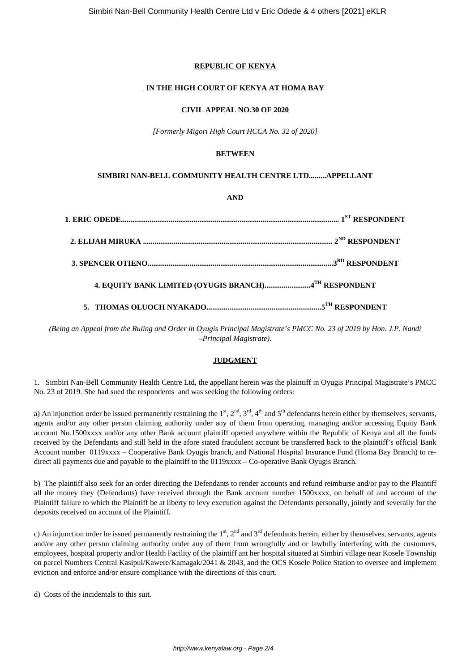# **REPUBLIC OF KENYA**

# **IN THE HIGH COURT OF KENYA AT HOMA BAY**

#### **CIVIL APPEAL NO.30 OF 2020**

*[Formerly Migori High Court HCCA No. 32 of 2020]*

## **BETWEEN**

# **SIMBIRI NAN-BELL COMMUNITY HEALTH CENTRE LTD.........APPELLANT**

### **AND**

*(Being an Appeal from the Ruling and Order in Oyugis Principal Magistrate's PMCC No. 23 of 2019 by Hon. J.P. Nandi –Principal Magistrate)*.

### **JUDGMENT**

1. Simbiri Nan-Bell Community Health Centre Ltd, the appellant herein was the plaintiff in Oyugis Principal Magistrate's PMCC No. 23 of 2019. She had sued the respondents and was seeking the following orders:

a) An injunction order be issued permanently restraining the  $1^{st}$ ,  $2^{nd}$ ,  $3^{rd}$ ,  $4^{th}$  and  $5^{th}$  defendants herein either by themselves, servants, agents and/or any other person claiming authority under any of them from operating, managing and/or accessing Equity Bank account No.1500xxxx and/or any other Bank account plaintiff opened anywhere within the Republic of Kenya and all the funds received by the Defendants and still held in the afore stated fraudulent account be transferred back to the plaintiff's official Bank Account number 0119xxxx – Cooperative Bank Oyugis branch, and National Hospital Insurance Fund (Homa Bay Branch) to redirect all payments due and payable to the plaintiff to the 0119xxxx – Co-operative Bank Oyugis Branch.

b) The plaintiff also seek for an order directing the Defendants to render accounts and refund reimburse and/or pay to the Plaintiff all the money they (Defendants) have received through the Bank account number 1500xxxx, on behalf of and account of the Plaintiff failure to which the Plaintiff be at liberty to levy execution against the Defendants personally, jointly and severally for the deposits received on account of the Plaintiff.

c) An injunction order be issued permanently restraining the  $1<sup>st</sup>$ ,  $2<sup>nd</sup>$  and  $3<sup>rd</sup>$  defendants herein, either by themselves, servants, agents and/or any other person claiming authority under any of them from wrongfully and or lawfully interfering with the customers, employees, hospital property and/or Health Facility of the plaintiff ant her hospital situated at Simbiri village near Kosele Township on parcel Numbers Central Kasipul/Kawere/Kamagak/2041 & 2043, and the OCS Kosele Police Station to oversee and implement eviction and enforce and/or ensure compliance with the directions of this court.

d) Costs of the incidentals to this suit.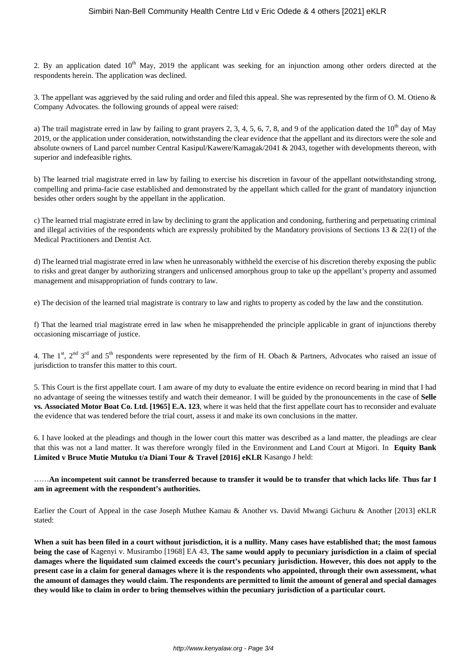2. By an application dated  $10<sup>th</sup>$  May, 2019 the applicant was seeking for an injunction among other orders directed at the respondents herein. The application was declined.

3. The appellant was aggrieved by the said ruling and order and filed this appeal. She was represented by the firm of O. M. Otieno & Company Advocates. the following grounds of appeal were raised:

a) The trail magistrate erred in law by failing to grant prayers 2, 3, 4, 5, 6, 7, 8, and 9 of the application dated the  $10<sup>th</sup>$  day of May 2019, or the application under consideration, notwithstanding the clear evidence that the appellant and its directors were the sole and absolute owners of Land parcel number Central Kasipul/Kawere/Kamagak/2041 & 2043, together with developments thereon, with superior and indefeasible rights.

b) The learned trial magistrate erred in law by failing to exercise his discretion in favour of the appellant notwithstanding strong, compelling and prima-facie case established and demonstrated by the appellant which called for the grant of mandatory injunction besides other orders sought by the appellant in the application.

c) The learned trial magistrate erred in law by declining to grant the application and condoning, furthering and perpetuating criminal and illegal activities of the respondents which are expressly prohibited by the Mandatory provisions of Sections 13  $\&$  22(1) of the Medical Practitioners and Dentist Act.

d) The learned trial magistrate erred in law when he unreasonably withheld the exercise of his discretion thereby exposing the public to risks and great danger by authorizing strangers and unlicensed amorphous group to take up the appellant's property and assumed management and misappropriation of funds contrary to law.

e) The decision of the learned trial magistrate is contrary to law and rights to property as coded by the law and the constitution.

f) That the learned trial magistrate erred in law when he misapprehended the principle applicable in grant of injunctions thereby occasioning miscarriage of justice.

4. The 1<sup>st</sup>, 2<sup>nd</sup> 3<sup>rd</sup> and 5<sup>th</sup> respondents were represented by the firm of H. Obach & Partners, Advocates who raised an issue of jurisdiction to transfer this matter to this court.

5. This Court is the first appellate court. I am aware of my duty to evaluate the entire evidence on record bearing in mind that I had no advantage of seeing the witnesses testify and watch their demeanor. I will be guided by the pronouncements in the case of **Selle vs. Associated Motor Boat Co. Ltd. [1965] E.A. 123**, where it was held that the first appellate court has to reconsider and evaluate the evidence that was tendered before the trial court, assess it and make its own conclusions in the matter.

6. I have looked at the pleadings and though in the lower court this matter was described as a land matter, the pleadings are clear that this was not a land matter. It was therefore wrongly filed in the Environment and Land Court at Migori. In **Equity Bank Limited v Bruce Mutie Mutuku t/a Diani Tour & Travel [2016] eKLR** Kasango J held:

……**An incompetent suit cannot be transferred because to transfer it would be to transfer that which lacks life**. **Thus far I am in agreement with the respondent's authorities.**

Earlier the Court of Appeal in the case Joseph Muthee Kamau & Another vs. David Mwangi Gichuru & Another [2013] eKLR stated:

**When a suit has been filed in a court without jurisdiction, it is a nullity. Many cases have established that; the most famous being the case of** Kagenyi v. Musirambo [1968] EA 43**. The same would apply to pecuniary jurisdiction in a claim of special damages where the liquidated sum claimed exceeds the court's pecuniary jurisdiction. However, this does not apply to the present case in a claim for general damages where it is the respondents who appointed, through their own assessment, what the amount of damages they would claim. The respondents are permitted to limit the amount of general and special damages they would like to claim in order to bring themselves within the pecuniary jurisdiction of a particular court.**